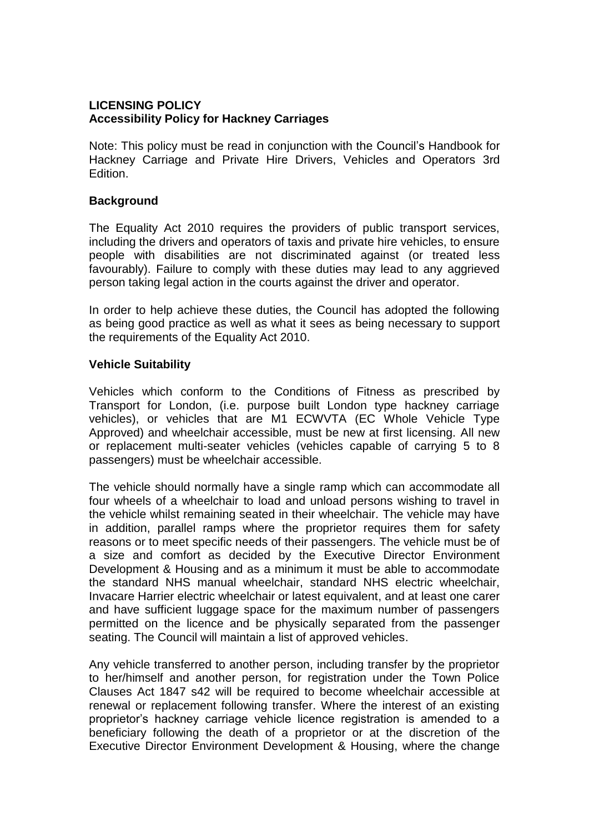### **LICENSING POLICY Accessibility Policy for Hackney Carriages**

Note: This policy must be read in conjunction with the Council's Handbook for Hackney Carriage and Private Hire Drivers, Vehicles and Operators 3rd Edition.

### **Background**

The Equality Act 2010 requires the providers of public transport services, including the drivers and operators of taxis and private hire vehicles, to ensure people with disabilities are not discriminated against (or treated less favourably). Failure to comply with these duties may lead to any aggrieved person taking legal action in the courts against the driver and operator.

In order to help achieve these duties, the Council has adopted the following as being good practice as well as what it sees as being necessary to support the requirements of the Equality Act 2010.

#### **Vehicle Suitability**

Vehicles which conform to the Conditions of Fitness as prescribed by Transport for London, (i.e. purpose built London type hackney carriage vehicles), or vehicles that are M1 ECWVTA (EC Whole Vehicle Type Approved) and wheelchair accessible, must be new at first licensing. All new or replacement multi-seater vehicles (vehicles capable of carrying 5 to 8 passengers) must be wheelchair accessible.

The vehicle should normally have a single ramp which can accommodate all four wheels of a wheelchair to load and unload persons wishing to travel in the vehicle whilst remaining seated in their wheelchair. The vehicle may have in addition, parallel ramps where the proprietor requires them for safety reasons or to meet specific needs of their passengers. The vehicle must be of a size and comfort as decided by the Executive Director Environment Development & Housing and as a minimum it must be able to accommodate the standard NHS manual wheelchair, standard NHS electric wheelchair, Invacare Harrier electric wheelchair or latest equivalent, and at least one carer and have sufficient luggage space for the maximum number of passengers permitted on the licence and be physically separated from the passenger seating. The Council will maintain a list of approved vehicles.

Any vehicle transferred to another person, including transfer by the proprietor to her/himself and another person, for registration under the Town Police Clauses Act 1847 s42 will be required to become wheelchair accessible at renewal or replacement following transfer. Where the interest of an existing proprietor's hackney carriage vehicle licence registration is amended to a beneficiary following the death of a proprietor or at the discretion of the Executive Director Environment Development & Housing, where the change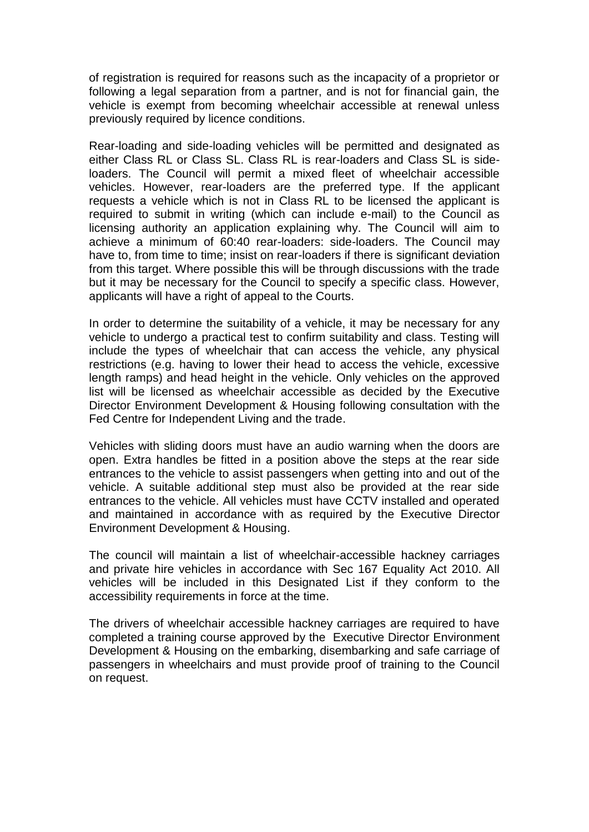of registration is required for reasons such as the incapacity of a proprietor or following a legal separation from a partner, and is not for financial gain, the vehicle is exempt from becoming wheelchair accessible at renewal unless previously required by licence conditions.

Rear-loading and side-loading vehicles will be permitted and designated as either Class RL or Class SL. Class RL is rear-loaders and Class SL is sideloaders. The Council will permit a mixed fleet of wheelchair accessible vehicles. However, rear-loaders are the preferred type. If the applicant requests a vehicle which is not in Class RL to be licensed the applicant is required to submit in writing (which can include e-mail) to the Council as licensing authority an application explaining why. The Council will aim to achieve a minimum of 60:40 rear-loaders: side-loaders. The Council may have to, from time to time; insist on rear-loaders if there is significant deviation from this target. Where possible this will be through discussions with the trade but it may be necessary for the Council to specify a specific class. However, applicants will have a right of appeal to the Courts.

In order to determine the suitability of a vehicle, it may be necessary for any vehicle to undergo a practical test to confirm suitability and class. Testing will include the types of wheelchair that can access the vehicle, any physical restrictions (e.g. having to lower their head to access the vehicle, excessive length ramps) and head height in the vehicle. Only vehicles on the approved list will be licensed as wheelchair accessible as decided by the Executive Director Environment Development & Housing following consultation with the Fed Centre for Independent Living and the trade.

Vehicles with sliding doors must have an audio warning when the doors are open. Extra handles be fitted in a position above the steps at the rear side entrances to the vehicle to assist passengers when getting into and out of the vehicle. A suitable additional step must also be provided at the rear side entrances to the vehicle. All vehicles must have CCTV installed and operated and maintained in accordance with as required by the Executive Director Environment Development & Housing.

The council will maintain a list of wheelchair-accessible hackney carriages and private hire vehicles in accordance with Sec 167 Equality Act 2010. All vehicles will be included in this Designated List if they conform to the accessibility requirements in force at the time.

The drivers of wheelchair accessible hackney carriages are required to have completed a training course approved by the Executive Director Environment Development & Housing on the embarking, disembarking and safe carriage of passengers in wheelchairs and must provide proof of training to the Council on request.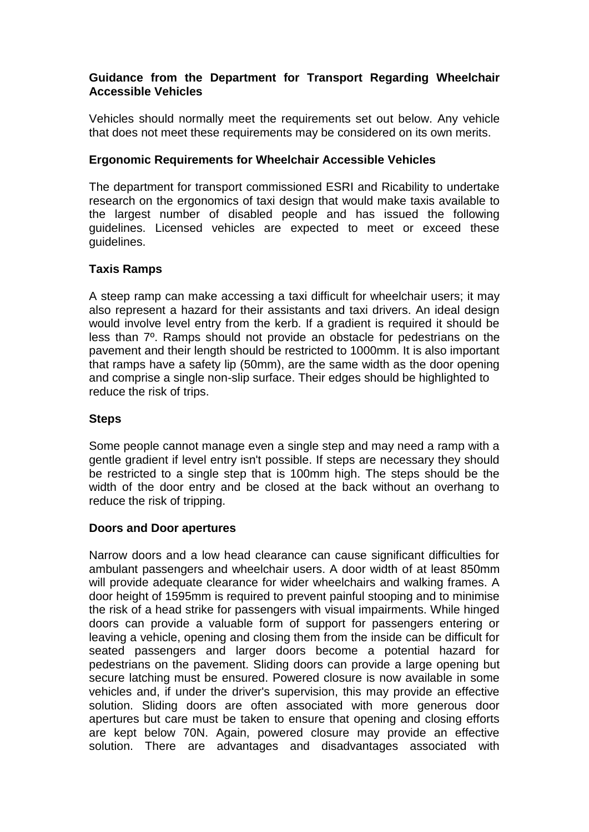### **Guidance from the Department for Transport Regarding Wheelchair Accessible Vehicles**

Vehicles should normally meet the requirements set out below. Any vehicle that does not meet these requirements may be considered on its own merits.

### **Ergonomic Requirements for Wheelchair Accessible Vehicles**

The department for transport commissioned ESRI and Ricability to undertake research on the ergonomics of taxi design that would make taxis available to the largest number of disabled people and has issued the following guidelines. Licensed vehicles are expected to meet or exceed these guidelines.

### **Taxis Ramps**

A steep ramp can make accessing a taxi difficult for wheelchair users; it may also represent a hazard for their assistants and taxi drivers. An ideal design would involve level entry from the kerb. If a gradient is required it should be less than 7º. Ramps should not provide an obstacle for pedestrians on the pavement and their length should be restricted to 1000mm. It is also important that ramps have a safety lip (50mm), are the same width as the door opening and comprise a single non-slip surface. Their edges should be highlighted to reduce the risk of trips.

### **Steps**

Some people cannot manage even a single step and may need a ramp with a gentle gradient if level entry isn't possible. If steps are necessary they should be restricted to a single step that is 100mm high. The steps should be the width of the door entry and be closed at the back without an overhang to reduce the risk of tripping.

### **Doors and Door apertures**

Narrow doors and a low head clearance can cause significant difficulties for ambulant passengers and wheelchair users. A door width of at least 850mm will provide adequate clearance for wider wheelchairs and walking frames. A door height of 1595mm is required to prevent painful stooping and to minimise the risk of a head strike for passengers with visual impairments. While hinged doors can provide a valuable form of support for passengers entering or leaving a vehicle, opening and closing them from the inside can be difficult for seated passengers and larger doors become a potential hazard for pedestrians on the pavement. Sliding doors can provide a large opening but secure latching must be ensured. Powered closure is now available in some vehicles and, if under the driver's supervision, this may provide an effective solution. Sliding doors are often associated with more generous door apertures but care must be taken to ensure that opening and closing efforts are kept below 70N. Again, powered closure may provide an effective solution. There are advantages and disadvantages associated with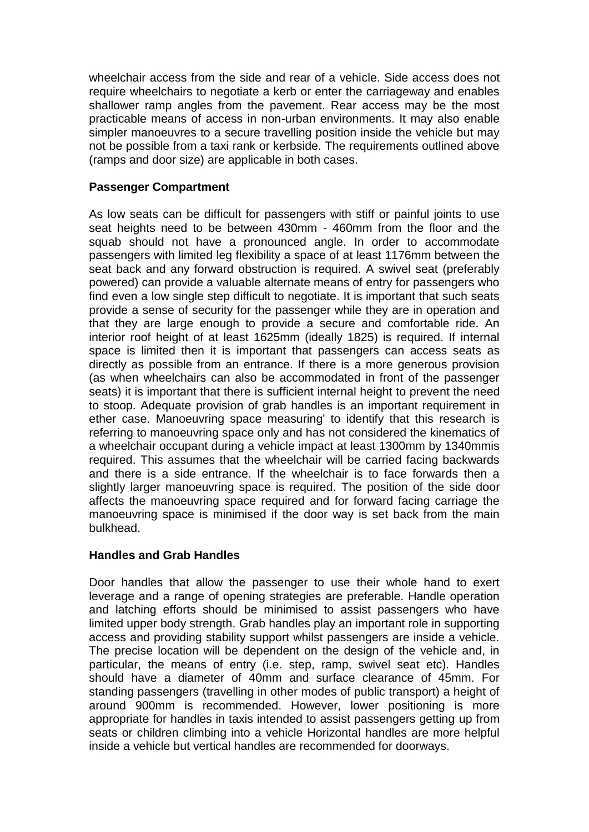wheelchair access from the side and rear of a vehicle. Side access does not require wheelchairs to negotiate a kerb or enter the carriageway and enables shallower ramp angles from the pavement. Rear access may be the most practicable means of access in non-urban environments. It may also enable simpler manoeuvres to a secure travelling position inside the vehicle but may not be possible from a taxi rank or kerbside. The requirements outlined above (ramps and door size) are applicable in both cases.

### **Passenger Compartment**

As low seats can be difficult for passengers with stiff or painful joints to use seat heights need to be between 430mm - 460mm from the floor and the squab should not have a pronounced angle. In order to accommodate passengers with limited leg flexibility a space of at least 1176mm between the seat back and any forward obstruction is required. A swivel seat (preferably powered) can provide a valuable alternate means of entry for passengers who find even a low single step difficult to negotiate. It is important that such seats provide a sense of security for the passenger while they are in operation and that they are large enough to provide a secure and comfortable ride. An interior roof height of at least 1625mm (ideally 1825) is required. If internal space is limited then it is important that passengers can access seats as directly as possible from an entrance. If there is a more generous provision (as when wheelchairs can also be accommodated in front of the passenger seats) it is important that there is sufficient internal height to prevent the need to stoop. Adequate provision of grab handles is an important requirement in ether case. Manoeuvring space measuring' to identify that this research is referring to manoeuvring space only and has not considered the kinematics of a wheelchair occupant during a vehicle impact at least 1300mm by 1340mmis required. This assumes that the wheelchair will be carried facing backwards and there is a side entrance. If the wheelchair is to face forwards then a slightly larger manoeuvring space is required. The position of the side door affects the manoeuvring space required and for forward facing carriage the manoeuvring space is minimised if the door way is set back from the main bulkhead.

# **Handles and Grab Handles**

Door handles that allow the passenger to use their whole hand to exert leverage and a range of opening strategies are preferable. Handle operation and latching efforts should be minimised to assist passengers who have limited upper body strength. Grab handles play an important role in supporting access and providing stability support whilst passengers are inside a vehicle. The precise location will be dependent on the design of the vehicle and, in particular, the means of entry (i.e. step, ramp, swivel seat etc). Handles should have a diameter of 40mm and surface clearance of 45mm. For standing passengers (travelling in other modes of public transport) a height of around 900mm is recommended. However, lower positioning is more appropriate for handles in taxis intended to assist passengers getting up from seats or children climbing into a vehicle Horizontal handles are more helpful inside a vehicle but vertical handles are recommended for doorways.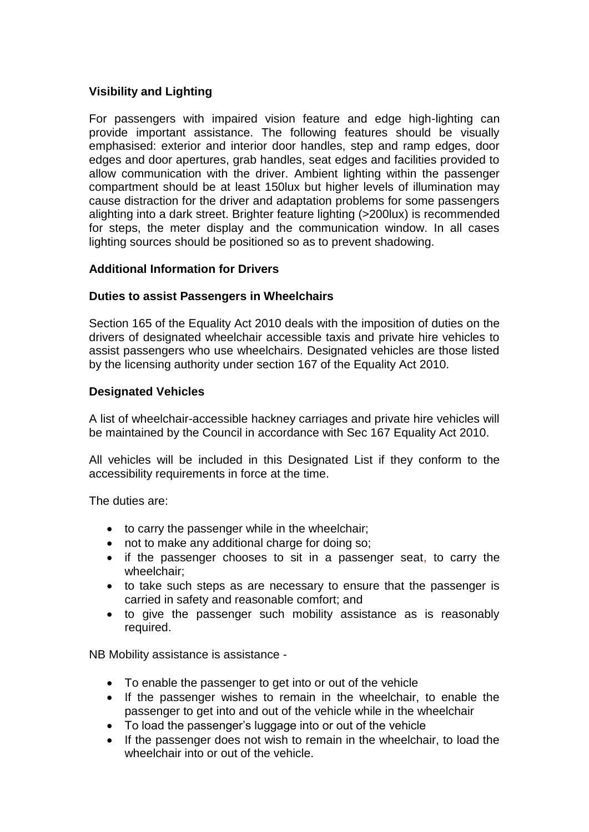# **Visibility and Lighting**

For passengers with impaired vision feature and edge high-lighting can provide important assistance. The following features should be visually emphasised: exterior and interior door handles, step and ramp edges, door edges and door apertures, grab handles, seat edges and facilities provided to allow communication with the driver. Ambient lighting within the passenger compartment should be at least 150lux but higher levels of illumination may cause distraction for the driver and adaptation problems for some passengers alighting into a dark street. Brighter feature lighting (>200lux) is recommended for steps, the meter display and the communication window. In all cases lighting sources should be positioned so as to prevent shadowing.

### **Additional Information for Drivers**

### **Duties to assist Passengers in Wheelchairs**

Section 165 of the Equality Act 2010 deals with the imposition of duties on the drivers of designated wheelchair accessible taxis and private hire vehicles to assist passengers who use wheelchairs. Designated vehicles are those listed by the licensing authority under section 167 of the Equality Act 2010.

### **Designated Vehicles**

A list of wheelchair-accessible hackney carriages and private hire vehicles will be maintained by the Council in accordance with Sec 167 Equality Act 2010.

All vehicles will be included in this Designated List if they conform to the accessibility requirements in force at the time.

The duties are:

- to carry the passenger while in the wheelchair;
- not to make any additional charge for doing so;
- if the passenger chooses to sit in a passenger seat, to carry the wheelchair;
- to take such steps as are necessary to ensure that the passenger is carried in safety and reasonable comfort; and
- to give the passenger such mobility assistance as is reasonably required.

NB Mobility assistance is assistance -

- To enable the passenger to get into or out of the vehicle
- If the passenger wishes to remain in the wheelchair, to enable the passenger to get into and out of the vehicle while in the wheelchair
- To load the passenger's luggage into or out of the vehicle
- If the passenger does not wish to remain in the wheelchair, to load the wheelchair into or out of the vehicle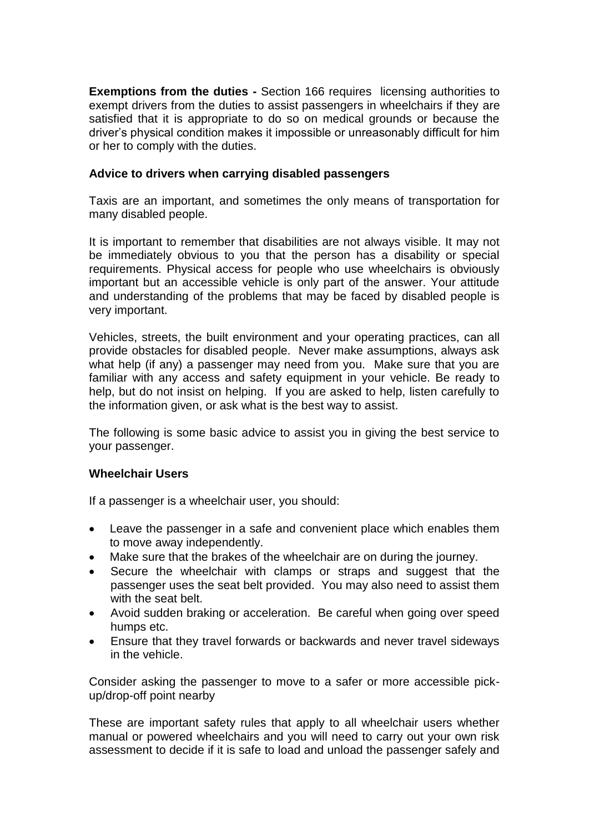**Exemptions from the duties -** Section 166 requires licensing authorities to exempt drivers from the duties to assist passengers in wheelchairs if they are satisfied that it is appropriate to do so on medical grounds or because the driver's physical condition makes it impossible or unreasonably difficult for him or her to comply with the duties.

### **Advice to drivers when carrying disabled passengers**

Taxis are an important, and sometimes the only means of transportation for many disabled people.

It is important to remember that disabilities are not always visible. It may not be immediately obvious to you that the person has a disability or special requirements. Physical access for people who use wheelchairs is obviously important but an accessible vehicle is only part of the answer. Your attitude and understanding of the problems that may be faced by disabled people is very important.

Vehicles, streets, the built environment and your operating practices, can all provide obstacles for disabled people. Never make assumptions, always ask what help (if any) a passenger may need from you. Make sure that you are familiar with any access and safety equipment in your vehicle. Be ready to help, but do not insist on helping. If you are asked to help, listen carefully to the information given, or ask what is the best way to assist.

The following is some basic advice to assist you in giving the best service to your passenger.

### **Wheelchair Users**

If a passenger is a wheelchair user, you should:

- Leave the passenger in a safe and convenient place which enables them to move away independently.
- Make sure that the brakes of the wheelchair are on during the journey.
- Secure the wheelchair with clamps or straps and suggest that the passenger uses the seat belt provided. You may also need to assist them with the seat belt.
- Avoid sudden braking or acceleration. Be careful when going over speed humps etc.
- Ensure that they travel forwards or backwards and never travel sideways in the vehicle.

Consider asking the passenger to move to a safer or more accessible pickup/drop-off point nearby

These are important safety rules that apply to all wheelchair users whether manual or powered wheelchairs and you will need to carry out your own risk assessment to decide if it is safe to load and unload the passenger safely and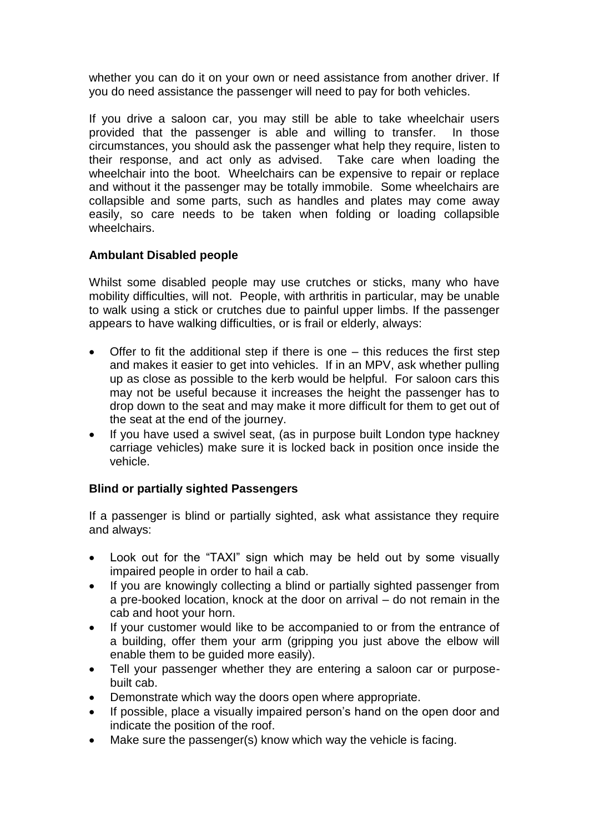whether you can do it on your own or need assistance from another driver. If you do need assistance the passenger will need to pay for both vehicles.

If you drive a saloon car, you may still be able to take wheelchair users provided that the passenger is able and willing to transfer. In those circumstances, you should ask the passenger what help they require, listen to their response, and act only as advised. Take care when loading the wheelchair into the boot. Wheelchairs can be expensive to repair or replace and without it the passenger may be totally immobile. Some wheelchairs are collapsible and some parts, such as handles and plates may come away easily, so care needs to be taken when folding or loading collapsible wheelchairs.

### **Ambulant Disabled people**

Whilst some disabled people may use crutches or sticks, many who have mobility difficulties, will not. People, with arthritis in particular, may be unable to walk using a stick or crutches due to painful upper limbs. If the passenger appears to have walking difficulties, or is frail or elderly, always:

- Offer to fit the additional step if there is one this reduces the first step and makes it easier to get into vehicles. If in an MPV, ask whether pulling up as close as possible to the kerb would be helpful. For saloon cars this may not be useful because it increases the height the passenger has to drop down to the seat and may make it more difficult for them to get out of the seat at the end of the journey.
- If you have used a swivel seat, (as in purpose built London type hackney carriage vehicles) make sure it is locked back in position once inside the vehicle.

# **Blind or partially sighted Passengers**

If a passenger is blind or partially sighted, ask what assistance they require and always:

- Look out for the "TAXI" sign which may be held out by some visually impaired people in order to hail a cab.
- If you are knowingly collecting a blind or partially sighted passenger from a pre-booked location, knock at the door on arrival – do not remain in the cab and hoot your horn.
- If your customer would like to be accompanied to or from the entrance of a building, offer them your arm (gripping you just above the elbow will enable them to be guided more easily).
- Tell your passenger whether they are entering a saloon car or purposebuilt cab.
- Demonstrate which way the doors open where appropriate.
- If possible, place a visually impaired person's hand on the open door and indicate the position of the roof.
- Make sure the passenger(s) know which way the vehicle is facing.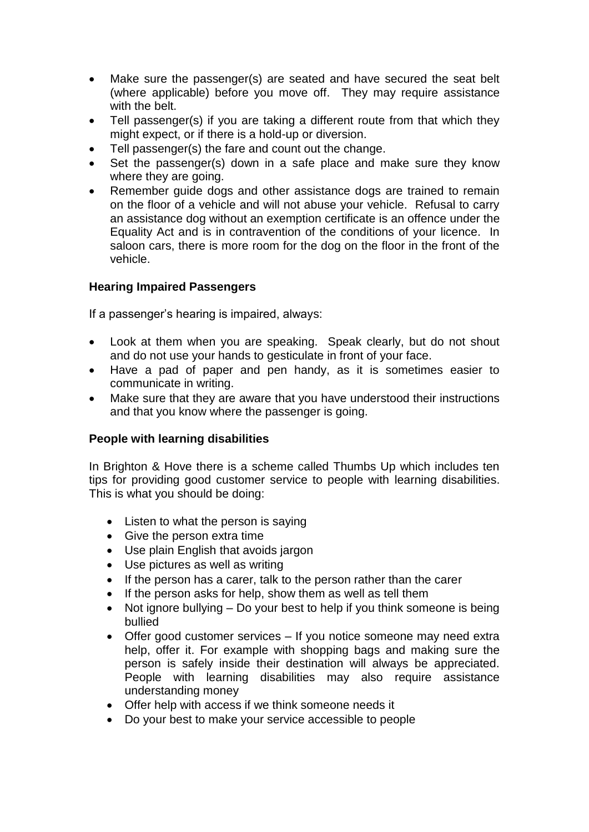- Make sure the passenger(s) are seated and have secured the seat belt (where applicable) before you move off. They may require assistance with the belt.
- Tell passenger(s) if you are taking a different route from that which they might expect, or if there is a hold-up or diversion.
- Tell passenger(s) the fare and count out the change.
- Set the passenger(s) down in a safe place and make sure they know where they are going.
- Remember guide dogs and other assistance dogs are trained to remain on the floor of a vehicle and will not abuse your vehicle. Refusal to carry an assistance dog without an exemption certificate is an offence under the Equality Act and is in contravention of the conditions of your licence. In saloon cars, there is more room for the dog on the floor in the front of the vehicle.

### **Hearing Impaired Passengers**

If a passenger's hearing is impaired, always:

- Look at them when you are speaking. Speak clearly, but do not shout and do not use your hands to gesticulate in front of your face.
- Have a pad of paper and pen handy, as it is sometimes easier to communicate in writing.
- Make sure that they are aware that you have understood their instructions and that you know where the passenger is going.

### **People with learning disabilities**

In Brighton & Hove there is a scheme called Thumbs Up which includes ten tips for providing good customer service to people with learning disabilities. This is what you should be doing:

- Listen to what the person is saying
- Give the person extra time
- Use plain English that avoids jargon
- Use pictures as well as writing
- If the person has a carer, talk to the person rather than the carer
- If the person asks for help, show them as well as tell them
- Not ignore bullying Do your best to help if you think someone is being bullied
- Offer good customer services If you notice someone may need extra help, offer it. For example with shopping bags and making sure the person is safely inside their destination will always be appreciated. People with learning disabilities may also require assistance understanding money
- Offer help with access if we think someone needs it
- Do your best to make your service accessible to people